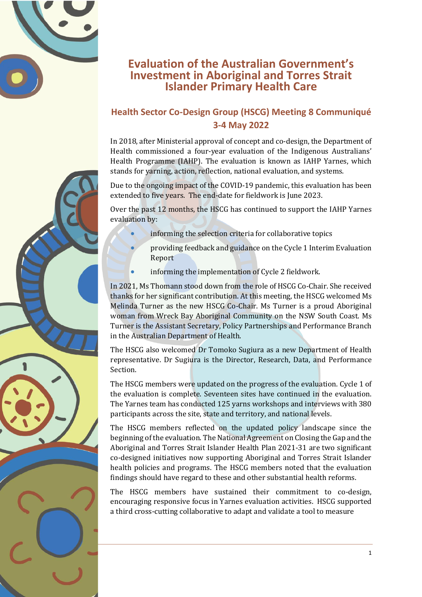

## **Evaluation of the Australian Government's Investment in Aboriginal and Torres Strait Islander Primary Health Care**

## **Health Sector Co-Design Group (HSCG) Meeting 8 Communiqué 3-4 May 2022**

In 2018, after Ministerial approval of concept and co-design, the Department of Health commissioned a four-year evaluation of the Indigenous Australians' Health Programme (IAHP). The evaluation is known as IAHP Yarnes, which stands for yarning, action, reflection, national evaluation, and systems.

Due to the ongoing impact of the COVID-19 pandemic, this evaluation has been extended to five years. The end-date for fieldwork is June 2023.

Over the past 12 months, the HSCG has continued to support the IAHP Yarnes evaluation by:

- informing the selection criteria for collaborative topics
- providing feedback and guidance on the Cycle 1 Interim Evaluation Report
- informing the implementation of Cycle 2 fieldwork.

In 2021, Ms Thomann stood down from the role of HSCG Co-Chair. She received thanks for her significant contribution. At this meeting, the HSCG welcomed Ms Melinda Turner as the new HSCG Co-Chair. Ms Turner is a proud Aboriginal woman from Wreck Bay Aboriginal Community on the NSW South Coast. Ms Turner is the Assistant Secretary, Policy Partnerships and Performance Branch in the Australian Department of Health.

The HSCG also welcomed Dr Tomoko Sugiura as a new Department of Health representative. Dr Sugiura is the Director, Research, Data, and Performance Section.

The HSCG members were updated on the progress of the evaluation. Cycle 1 of the evaluation is complete. Seventeen sites have continued in the evaluation. The Yarnes team has conducted 125 yarns workshops and interviews with 380 participants across the site, state and territory, and national levels.

The HSCG members reflected on the updated policy landscape since the beginning of the evaluation. The National Agreement on Closing the Gap and the Aboriginal and Torres Strait Islander Health Plan 2021-31 are two significant co-designed initiatives now supporting Aboriginal and Torres Strait Islander health policies and programs. The HSCG members noted that the evaluation findings should have regard to these and other substantial health reforms.

The HSCG members have sustained their commitment to co-design, encouraging responsive focus in Yarnes evaluation activities. HSCG supported a third cross-cutting collaborative to adapt and validate a tool to measure